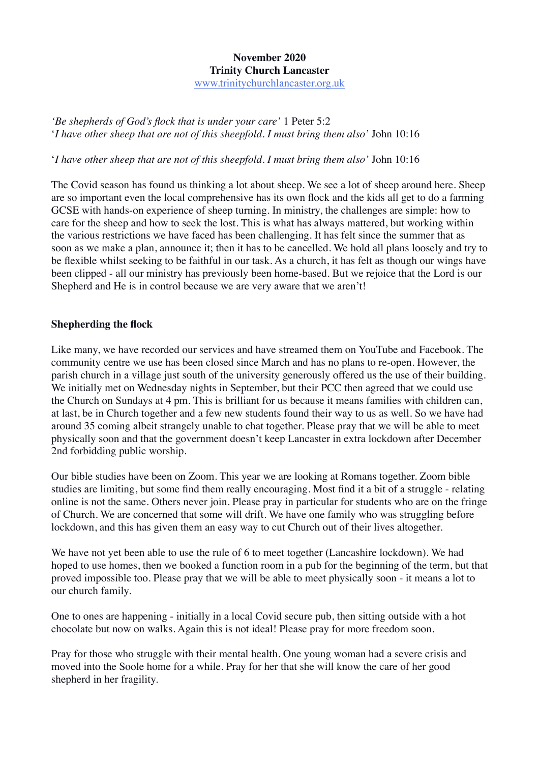## **November 2020 Trinity Church Lancaster**

[www.trinitychurchlancaster.org.uk](http://www.trinitychurchlancaster.org.uk/)

*'Be shepherds of God's flock that is under your care'* 1 Peter 5:2 '*I have other sheep that are not of this sheepfold. I must bring them also'* John 10:16

'*I have other sheep that are not of this sheepfold. I must bring them also'* John 10:16

The Covid season has found us thinking a lot about sheep. We see a lot of sheep around here. Sheep are so important even the local comprehensive has its own flock and the kids all get to do a farming GCSE with hands-on experience of sheep turning. In ministry, the challenges are simple: how to care for the sheep and how to seek the lost. This is what has always mattered, but working within the various restrictions we have faced has been challenging. It has felt since the summer that as soon as we make a plan, announce it; then it has to be cancelled. We hold all plans loosely and try to be flexible whilst seeking to be faithful in our task. As a church, it has felt as though our wings have been clipped - all our ministry has previously been home-based. But we rejoice that the Lord is our Shepherd and He is in control because we are very aware that we aren't!

## **Shepherding the flock**

Like many, we have recorded our services and have streamed them on YouTube and Facebook. The community centre we use has been closed since March and has no plans to re-open. However, the parish church in a village just south of the university generously offered us the use of their building. We initially met on Wednesday nights in September, but their PCC then agreed that we could use the Church on Sundays at 4 pm. This is brilliant for us because it means families with children can, at last, be in Church together and a few new students found their way to us as well. So we have had around 35 coming albeit strangely unable to chat together. Please pray that we will be able to meet physically soon and that the government doesn't keep Lancaster in extra lockdown after December 2nd forbidding public worship.

Our bible studies have been on Zoom. This year we are looking at Romans together. Zoom bible studies are limiting, but some find them really encouraging. Most find it a bit of a struggle - relating online is not the same. Others never join. Please pray in particular for students who are on the fringe of Church. We are concerned that some will drift. We have one family who was struggling before lockdown, and this has given them an easy way to cut Church out of their lives altogether.

We have not yet been able to use the rule of 6 to meet together (Lancashire lockdown). We had hoped to use homes, then we booked a function room in a pub for the beginning of the term, but that proved impossible too. Please pray that we will be able to meet physically soon - it means a lot to our church family.

One to ones are happening - initially in a local Covid secure pub, then sitting outside with a hot chocolate but now on walks. Again this is not ideal! Please pray for more freedom soon.

Pray for those who struggle with their mental health. One young woman had a severe crisis and moved into the Soole home for a while. Pray for her that she will know the care of her good shepherd in her fragility.